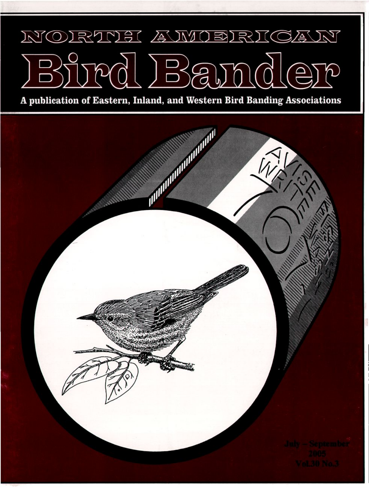## RINEI AMIDE **NOI** 74557  $\widehat{\hspace{1cm}}$  $\sum_{\mathsf{L}}$

**A publication of Eastern, Inland, and Western Bird Banding Associations**